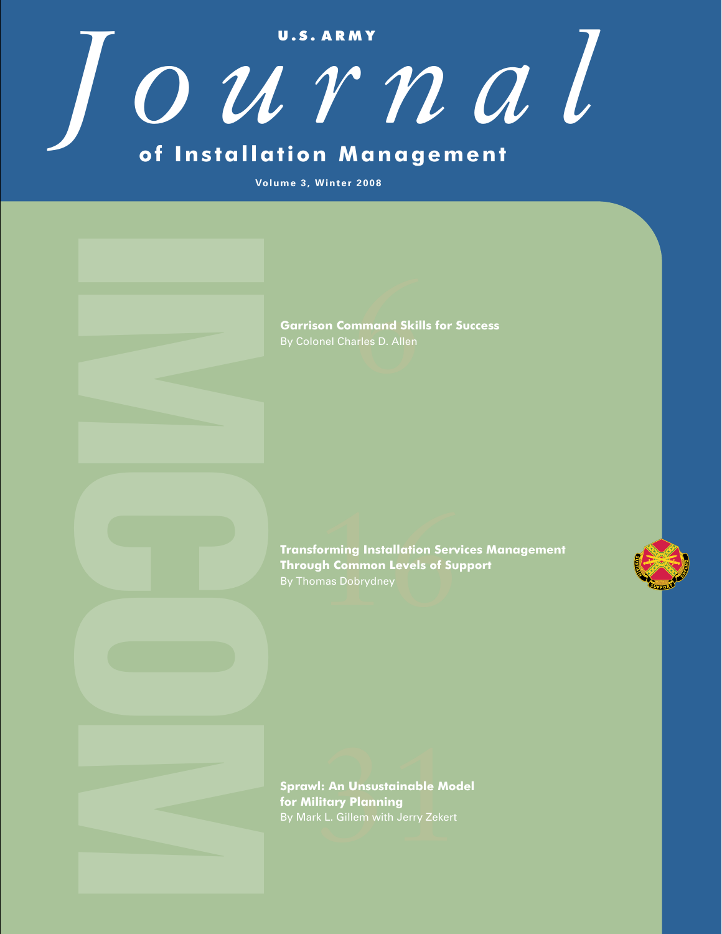**U . S . A R M Y** *Journal* **of Installation Management**

**Volume 3, Winter 2008**

6**Garrison Command Skills for Success**

f<mark>orming Installation Serv</mark><br><mark>gh Common Levels of Su<sub>l</sub><br>mas Dobrydney</mark> Forrison Command Skills for Success<br>
By Colonal Charles D. Allen<br> **Transforming Installation Services Management**<br> **Transforming Installation Services Management**<br>
IProvas Debtydney<br>
By Thomas Debtydney<br>
Spravel: An Unaust **Through Common Levels of Support**

rl: An Unsustainable Mod<br><mark>litary Planning</mark><br>k L. Gillem with Jerry Zekert **Sprawl: An Unsustainable Model for Military Planning**  By Mark L. Gillem with Jerry Zekert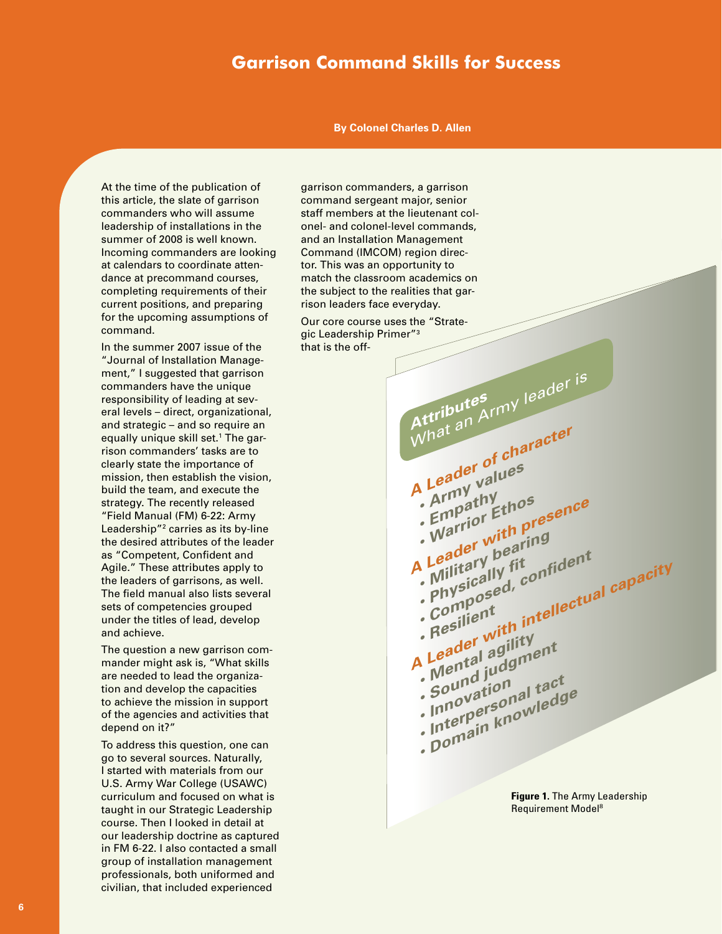# **Garrison Command Skills for Success**

**By Colonel Charles D. Allen**

At the time of the publication of this article, the slate of garrison commanders who will assume leadership of installations in the summer of 2008 is well known. Incoming commanders are looking at calendars to coordinate attendance at precommand courses, completing requirements of their current positions, and preparing for the upcoming assumptions of command.

In the summer 2007 issue of the "Journal of Installation Management," I suggested that garrison commanders have the unique responsibility of leading at several levels – direct, organizational, and strategic – and so require an equally unique skill set.<sup>1</sup> The garrison commanders' tasks are to clearly state the importance of mission, then establish the vision, build the team, and execute the strategy. The recently released "Field Manual (FM) 6-22: Army Leadership"2 carries as its by-line the desired attributes of the leader as "Competent, Confident and Agile." These attributes apply to the leaders of garrisons, as well. The field manual also lists several sets of competencies grouped under the titles of lead, develop and achieve.

The question a new garrison commander might ask is, "What skills are needed to lead the organization and develop the capacities to achieve the mission in support of the agencies and activities that depend on it?"

To address this question, one can go to several sources. Naturally, I started with materials from our U.S. Army War College (USAWC) curriculum and focused on what is taught in our Strategic Leadership course. Then I looked in detail at our leadership doctrine as captured in FM 6-22. I also contacted a small group of installation management professionals, both uniformed and civilian, that included experienced

garrison commanders, a garrison command sergeant major, senior staff members at the lieutenant colonel- and colonel-level commands, and an Installation Management Command (IMCOM) region director. This was an opportunity to match the classroom academics on the subject to the realities that garrison leaders face everyday.

Our core course uses the "Strategic Leadership Primer"3 that is the off-



**Figure 1.** The Army Leadership Requirement Model8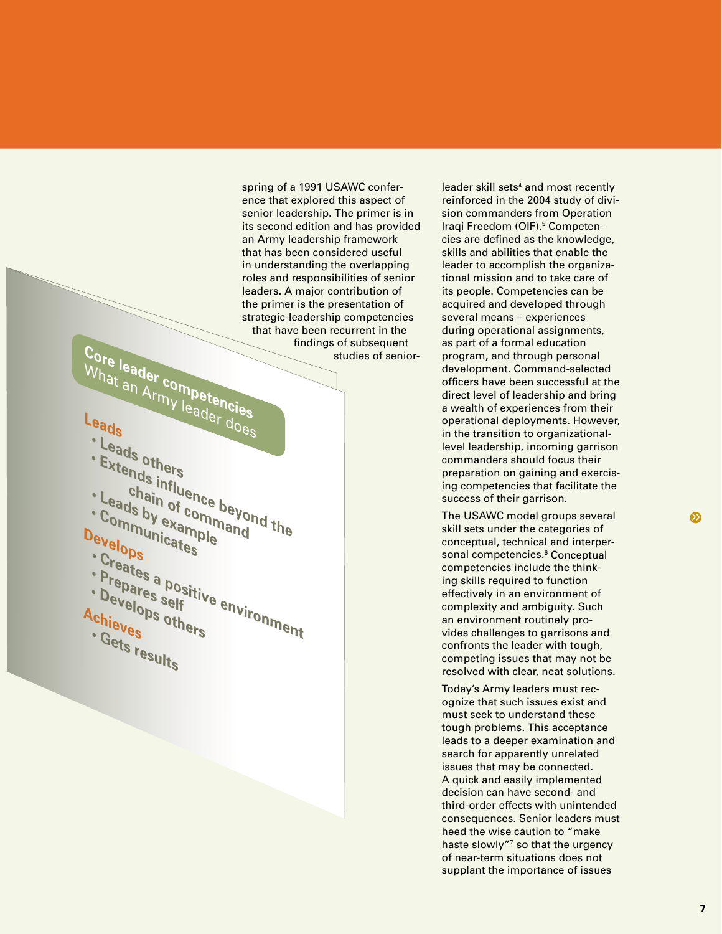spring of a 1991 USAWC conference that explored this aspect of senior leadership. The primer is in its second edition and has provided an Army leadership framework that has been considered useful in understanding the overlapping roles and responsibilities of senior leaders. A major contribution of the primer is the presentation of strategic-leadership competencies that have been recurrent in the **Core leader competent of subsequent studies of senior studies** of senior studies of senior-

# What an Army leader does

- 
- 
- 
- 
- **·** Leads others<br>• Extends influence beyolet and the chain of command • Extends influence beyond<br>• Leads by example<br>• Communicate <sup>per</sup><br>• Communicate per and<br>**Devel • Communicates**
- **Develops**
	-
	-
	-
- **Prepares self**<br>• Develop self<br>• Prepares a po
- 
- **Creates a positive environment**<br>• Develops self<br>• Creates a positive environment<br>Achieves others **• Develops others**<br>Achieves others<br>• Develops others **Achieves**
- **Gets results**

reinforced in the 2004 study of division commanders from Operation Iraqi Freedom (OIF).<sup>5</sup> Competencies are defined as the knowledge, skills and abilities that enable the leader to accomplish the organizational mission and to take care of its people. Competencies can be acquired and developed through several means – experiences during operational assignments, as part of a formal education program, and through personal development. Command-selected officers have been successful at the direct level of leadership and bring a wealth of experiences from their operational deployments. However, in the transition to organizationallevel leadership, incoming garrison commanders should focus their preparation on gaining and exercising competencies that facilitate the success of their garrison.

leader skill sets<sup>4</sup> and most recently

The USAWC model groups several skill sets under the categories of conceptual, technical and interpersonal competencies.<sup>6</sup> Conceptual competencies include the thinking skills required to function effectively in an environment of complexity and ambiguity. Such an environment routinely provides challenges to garrisons and confronts the leader with tough, competing issues that may not be resolved with clear, neat solutions.

Today's Army leaders must recognize that such issues exist and must seek to understand these tough problems. This acceptance leads to a deeper examination and search for apparently unrelated issues that may be connected. A quick and easily implemented decision can have second- and third-order effects with unintended consequences. Senior leaders must heed the wise caution to "make haste slowly"<sup>7</sup> so that the urgency of near-term situations does not supplant the importance of issues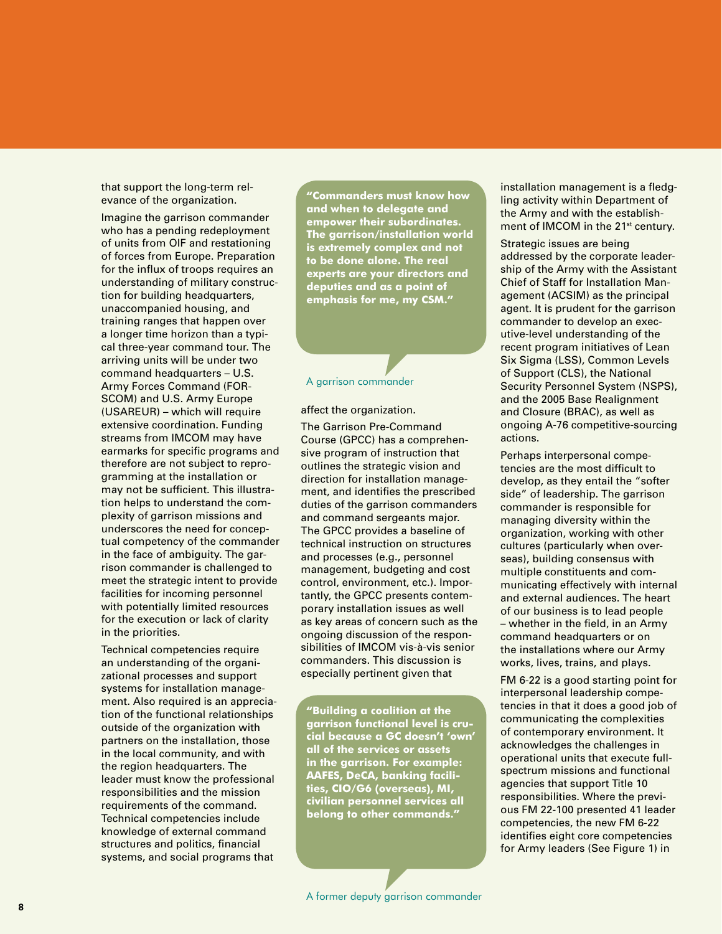that support the long-term relevance of the organization.

Imagine the garrison commander who has a pending redeployment of units from OIF and restationing of forces from Europe. Preparation for the influx of troops requires an understanding of military construction for building headquarters, unaccompanied housing, and training ranges that happen over a longer time horizon than a typical three-year command tour. The arriving units will be under two command headquarters – U.S. Army Forces Command (FOR-SCOM) and U.S. Army Europe (USAREUR) – which will require extensive coordination. Funding streams from IMCOM may have earmarks for specific programs and therefore are not subject to reprogramming at the installation or may not be sufficient. This illustration helps to understand the complexity of garrison missions and underscores the need for conceptual competency of the commander in the face of ambiguity. The garrison commander is challenged to meet the strategic intent to provide facilities for incoming personnel with potentially limited resources for the execution or lack of clarity in the priorities.

Technical competencies require an understanding of the organizational processes and support systems for installation management. Also required is an appreciation of the functional relationships outside of the organization with partners on the installation, those in the local community, and with the region headquarters. The leader must know the professional responsibilities and the mission requirements of the command. Technical competencies include knowledge of external command structures and politics, financial systems, and social programs that

**"Commanders must know how and when to delegate and empower their subordinates. The garrison/installation world is extremely complex and not to be done alone. The real experts are your directors and deputies and as a point of emphasis for me, my CSM."**

### A garrison commander

#### affect the organization.

The Garrison Pre-Command Course (GPCC) has a comprehensive program of instruction that outlines the strategic vision and direction for installation management, and identifies the prescribed duties of the garrison commanders and command sergeants major. The GPCC provides a baseline of technical instruction on structures and processes (e.g., personnel management, budgeting and cost control, environment, etc.). Importantly, the GPCC presents contemporary installation issues as well as key areas of concern such as the ongoing discussion of the responsibilities of IMCOM vis-à-vis senior commanders. This discussion is especially pertinent given that

**"Building a coalition at the garrison functional level is crucial because a GC doesn't 'own' all of the services or assets in the garrison. For example: AAFES, DeCA, banking facilities, CIO/G6 (overseas), MI, civilian personnel services all belong to other commands."**

installation management is a fledgling activity within Department of the Army and with the establishment of IMCOM in the 21<sup>st</sup> century.

Strategic issues are being addressed by the corporate leadership of the Army with the Assistant Chief of Staff for Installation Management (ACSIM) as the principal agent. It is prudent for the garrison commander to develop an executive-level understanding of the recent program initiatives of Lean Six Sigma (LSS), Common Levels of Support (CLS), the National Security Personnel System (NSPS), and the 2005 Base Realignment and Closure (BRAC), as well as ongoing A-76 competitive-sourcing actions.

Perhaps interpersonal competencies are the most difficult to develop, as they entail the "softer side" of leadership. The garrison commander is responsible for managing diversity within the organization, working with other cultures (particularly when overseas), building consensus with multiple constituents and communicating effectively with internal and external audiences. The heart of our business is to lead people – whether in the field, in an Army command headquarters or on the installations where our Army works, lives, trains, and plays.

FM 6-22 is a good starting point for interpersonal leadership competencies in that it does a good job of communicating the complexities of contemporary environment. It acknowledges the challenges in operational units that execute fullspectrum missions and functional agencies that support Title 10 responsibilities. Where the previous FM 22-100 presented 41 leader competencies, the new FM 6-22 identifies eight core competencies for Army leaders (See Figure 1) in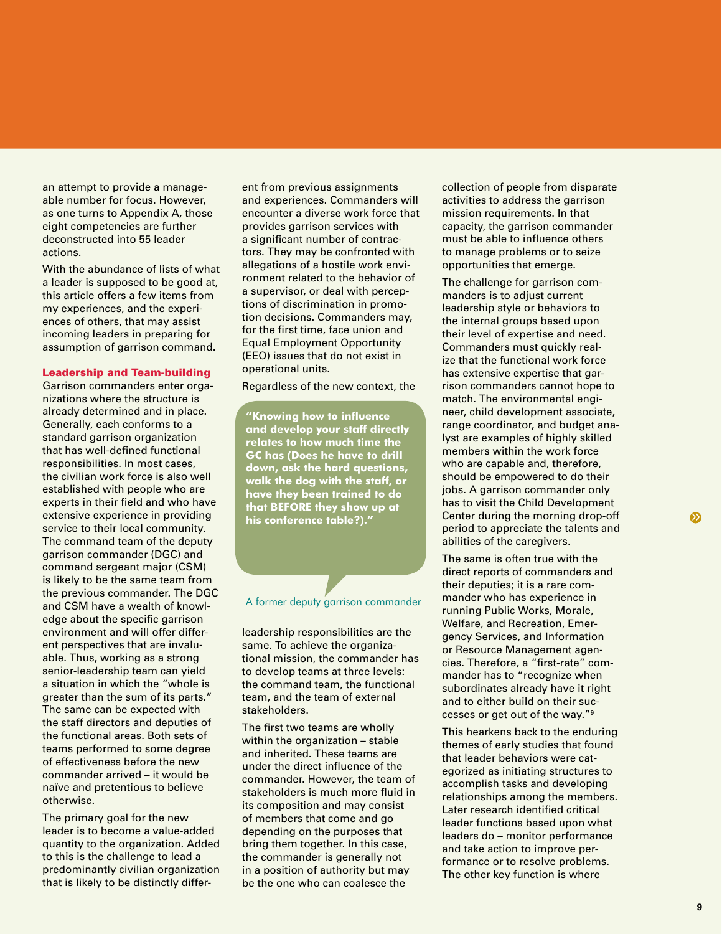an attempt to provide a manageable number for focus. However, as one turns to Appendix A, those eight competencies are further deconstructed into 55 leader actions.

With the abundance of lists of what a leader is supposed to be good at, this article offers a few items from my experiences, and the experiences of others, that may assist incoming leaders in preparing for assumption of garrison command.

#### Leadership and Team-building

Garrison commanders enter organizations where the structure is already determined and in place. Generally, each conforms to a standard garrison organization that has well-defined functional responsibilities. In most cases, the civilian work force is also well established with people who are experts in their field and who have extensive experience in providing service to their local community. The command team of the deputy garrison commander (DGC) and command sergeant major (CSM) is likely to be the same team from the previous commander. The DGC and CSM have a wealth of knowledge about the specific garrison environment and will offer different perspectives that are invaluable. Thus, working as a strong senior-leadership team can yield a situation in which the "whole is greater than the sum of its parts." The same can be expected with the staff directors and deputies of the functional areas. Both sets of teams performed to some degree of effectiveness before the new commander arrived – it would be naïve and pretentious to believe otherwise.

The primary goal for the new leader is to become a value-added quantity to the organization. Added to this is the challenge to lead a predominantly civilian organization that is likely to be distinctly differ-

ent from previous assignments and experiences. Commanders will encounter a diverse work force that provides garrison services with a significant number of contractors. They may be confronted with allegations of a hostile work environment related to the behavior of a supervisor, or deal with perceptions of discrimination in promotion decisions. Commanders may, for the first time, face union and Equal Employment Opportunity (EEO) issues that do not exist in operational units.

Regardless of the new context, the

**"Knowing how to influence and develop your staff directly relates to how much time the GC has (Does he have to drill down, ask the hard questions, walk the dog with the staff, or have they been trained to do that BEFORE they show up at his conference table?)."**

#### A former deputy garrison commander

leadership responsibilities are the same. To achieve the organizational mission, the commander has to develop teams at three levels: the command team, the functional team, and the team of external stakeholders.

The first two teams are wholly within the organization - stable and inherited. These teams are under the direct influence of the commander. However, the team of stakeholders is much more fluid in its composition and may consist of members that come and go depending on the purposes that bring them together. In this case, the commander is generally not in a position of authority but may be the one who can coalesce the

collection of people from disparate activities to address the garrison mission requirements. In that capacity, the garrison commander must be able to influence others to manage problems or to seize opportunities that emerge.

The challenge for garrison commanders is to adjust current leadership style or behaviors to the internal groups based upon their level of expertise and need. Commanders must quickly realize that the functional work force has extensive expertise that garrison commanders cannot hope to match. The environmental engineer, child development associate, range coordinator, and budget analyst are examples of highly skilled members within the work force who are capable and, therefore, should be empowered to do their jobs. A garrison commander only has to visit the Child Development Center during the morning drop-off period to appreciate the talents and abilities of the caregivers.

The same is often true with the direct reports of commanders and their deputies; it is a rare commander who has experience in running Public Works, Morale, Welfare, and Recreation, Emergency Services, and Information or Resource Management agencies. Therefore, a "first-rate" commander has to "recognize when subordinates already have it right and to either build on their successes or get out of the way."9

This hearkens back to the enduring themes of early studies that found that leader behaviors were categorized as initiating structures to accomplish tasks and developing relationships among the members. Later research identified critical leader functions based upon what leaders do – monitor performance and take action to improve performance or to resolve problems. The other key function is where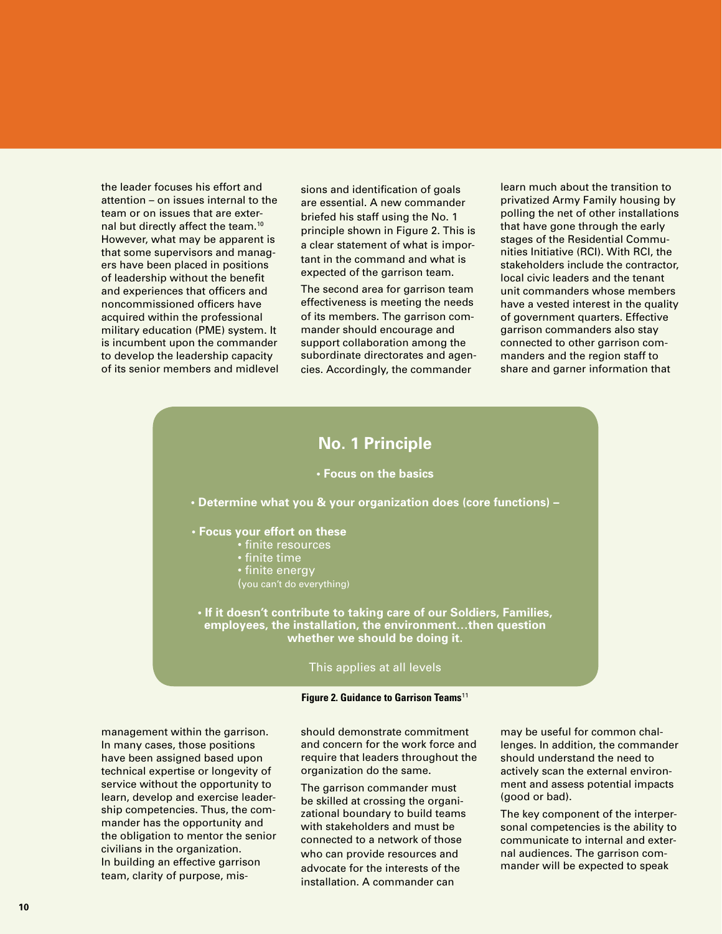the leader focuses his effort and attention – on issues internal to the team or on issues that are external but directly affect the team.10 However, what may be apparent is that some supervisors and managers have been placed in positions of leadership without the benefit and experiences that officers and noncommissioned officers have acquired within the professional military education (PME) system. It is incumbent upon the commander to develop the leadership capacity of its senior members and midlevel

sions and identification of goals are essential. A new commander briefed his staff using the No. 1 principle shown in Figure 2. This is a clear statement of what is important in the command and what is expected of the garrison team.

The second area for garrison team effectiveness is meeting the needs of its members. The garrison commander should encourage and support collaboration among the subordinate directorates and agencies. Accordingly, the commander

learn much about the transition to privatized Army Family housing by polling the net of other installations that have gone through the early stages of the Residential Communities Initiative (RCI). With RCI, the stakeholders include the contractor, local civic leaders and the tenant unit commanders whose members have a vested interest in the quality of government quarters. Effective garrison commanders also stay connected to other garrison commanders and the region staff to share and garner information that

## **No. 1 Principle**

## **• Focus on the basics**

**• Determine what you & your organization does (core functions) –**

- **Focus your effort on these**
	- finite resources
	- finite time
	- finite energy
	- (you can't do everything)

**• If it doesn't contribute to taking care of our Soldiers, Families, employees, the installation, the environment…then question whether we should be doing it.** 

#### This applies at all levels

#### **Figure 2. Guidance to Garrison Teams**11

management within the garrison. In many cases, those positions have been assigned based upon technical expertise or longevity of service without the opportunity to learn, develop and exercise leadership competencies. Thus, the commander has the opportunity and the obligation to mentor the senior civilians in the organization. In building an effective garrison team, clarity of purpose, misshould demonstrate commitment and concern for the work force and require that leaders throughout the organization do the same.

The garrison commander must be skilled at crossing the organizational boundary to build teams with stakeholders and must be connected to a network of those who can provide resources and advocate for the interests of the installation. A commander can

may be useful for common challenges. In addition, the commander should understand the need to actively scan the external environment and assess potential impacts (good or bad).

The key component of the interpersonal competencies is the ability to communicate to internal and external audiences. The garrison commander will be expected to speak